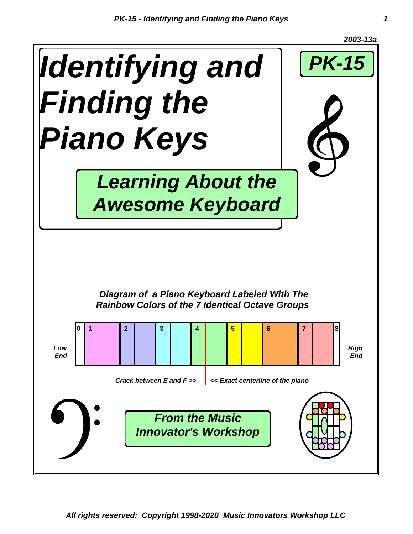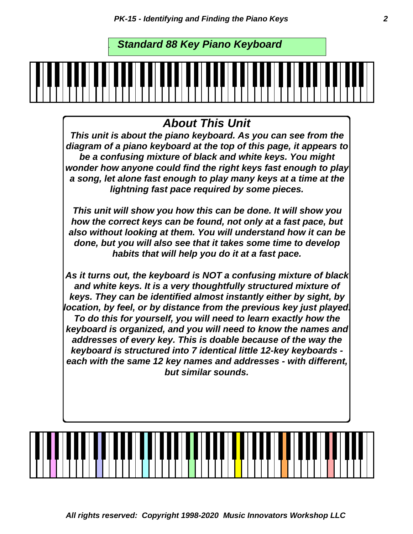. *Standard 88 Key Piano Keyboard*

#### *About This Unit*

*This unit is about the piano keyboard. As you can see from the diagram of a piano keyboard at the top of this page, it appears to be a confusing mixture of black and white keys. You might wonder how anyone could find the right keys fast enough to play a song, let alone fast enough to play many keys at a time at the lightning fast pace required by some pieces.*

*This unit will show you how this can be done. It will show you how the correct keys can be found, not only at a fast pace, but also without looking at them. You will understand how it can be done, but you will also see that it takes some time to develop habits that will help you do it at a fast pace.*

*As it turns out, the keyboard is NOT a confusing mixture of black and white keys. It is a very thoughtfully structured mixture of keys. They can be identified almost instantly either by sight, by location, by feel, or by distance from the previous key just played. To do this for yourself, you will need to learn exactly how the keyboard is organized, and you will need to know the names and addresses of every key. This is doable because of the way the keyboard is structured into 7 identical little 12-key keyboards each with the same 12 key names and addresses - with different, but similar sounds.*

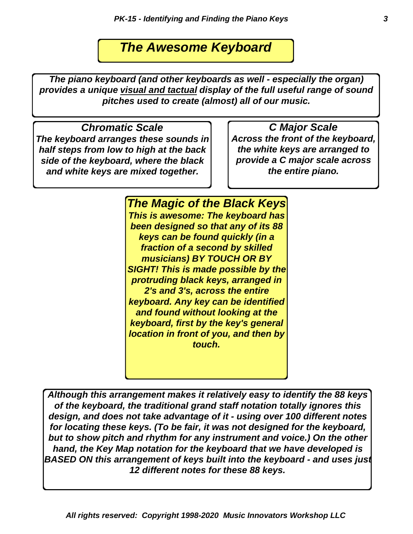### *The Awesome Keyboard*

*The piano keyboard (and other keyboards as well - especially the organ) provides a unique visual and tactual display of the full useful range of sound pitches used to create (almost) all of our music.*

*Chromatic Scale*

*The keyboard arranges these sounds in half steps from low to high at the back side of the keyboard, where the black and white keys are mixed together.*

*C Major Scale Across the front of the keyboard, the white keys are arranged to provide a C major scale across the entire piano.*

*The Magic of the Black Keys This is awesome: The keyboard has been designed so that any of its 88 keys can be found quickly (in a fraction of a second by skilled musicians) BY TOUCH OR BY SIGHT! This is made possible by the protruding black keys, arranged in 2's and 3's, across the entire keyboard. Any key can be identified and found without looking at the keyboard, first by the key's general location in front of you, and then by touch.*

*Although this arrangement makes it relatively easy to identify the 88 keys of the keyboard, the traditional grand staff notation totally ignores this design, and does not take advantage of it - using over 100 different notes for locating these keys. (To be fair, it was not designed for the keyboard, but to show pitch and rhythm for any instrument and voice.) On the other hand, the Key Map notation for the keyboard that we have developed is BASED ON this arrangement of keys built into the keyboard - and uses just 12 different notes for these 88 keys.*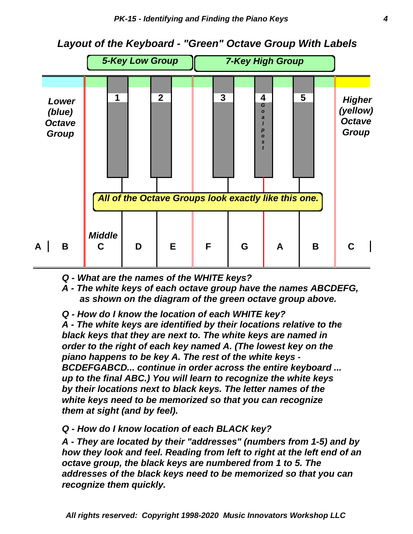

*Layout of the Keyboard - "Green" Octave Group With Labels*

- *Q What are the names of the WHITE keys?*
- *A The white keys of each octave group have the names ABCDEFG, as shown on the diagram of the green octave group above.*
- *Q How do I know the location of each WHITE key?*

*them at sight (and by feel). white keys need to be memorized so that you can recognize by their locations next to black keys. The letter names of the up to the final ABC.) You will learn to recognize the white keys BCDEFGABCD... continue in order across the entire keyboard ... piano happens to be key A. The rest of the white keys order to the right of each key named A. (The lowest key on the black keys that they are next to. The white keys are named in A - The white keys are identified by their locations relative to the*

#### *Q - How do I know location of each BLACK key?*

*recognize them quickly. addresses of the black keys need to be memorized so that you can octave group, the black keys are numbered from 1 to 5. The how they look and feel. Reading from left to right at the left end of an A - They are located by their "addresses" (numbers from 1-5) and by*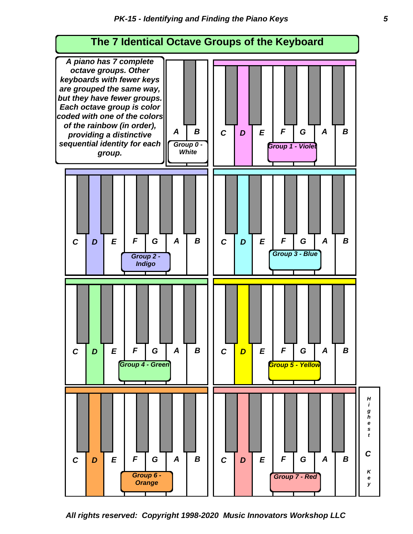

*All rights reserved: Copyright 1998-2020 Music Innovators Workshop LLC*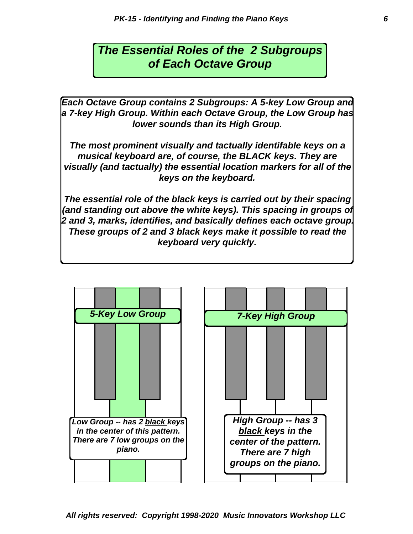### *The Essential Roles of the 2 Subgroups of Each Octave Group*

*Each Octave Group contains 2 Subgroups: A 5-key Low Group and a 7-key High Group. Within each Octave Group, the Low Group has lower sounds than its High Group.*

*The most prominent visually and tactually identifable keys on a musical keyboard are, of course, the BLACK keys. They are visually (and tactually) the essential location markers for all of the keys on the keyboard.*

*The essential role of the black keys is carried out by their spacing (and standing out above the white keys). This spacing in groups of 2 and 3, marks, identifies, and basically defines each octave group. These groups of 2 and 3 black keys make it possible to read the keyboard very quickly.*

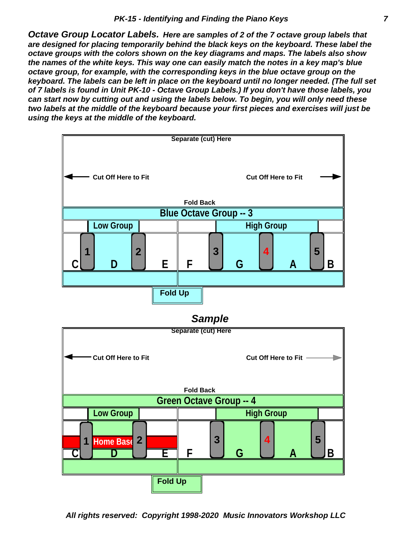*two labels at the middle of the keyboard because your first pieces and exercises will just be*<br>using the keys at the middle of the keyboard *Octave Group Locator Labels. Here are samples of 2 of the 7 octave group labels that are designed for placing temporarily behind the black keys on the keyboard. These label the octave groups with the colors shown on the key diagrams and maps. The labels also show the names of the white keys. This way one can easily match the notes in a key map's blue octave group, for example, with the corresponding keys in the blue octave group on the keyboard. The labels can be left in place on the keyboard until no longer needed. (The full set of 7 labels is found in Unit PK-10 - Octave Group Labels.) If you don't have those labels, you can start now by cutting out and using the labels below. To begin, you will only need these using the keys at the middle of the keyboard.*

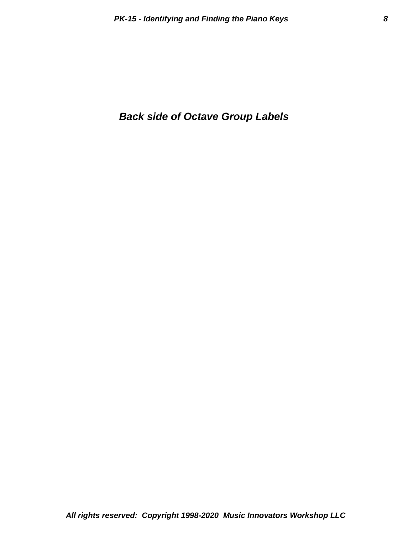#### *Back side of Octave Group Labels*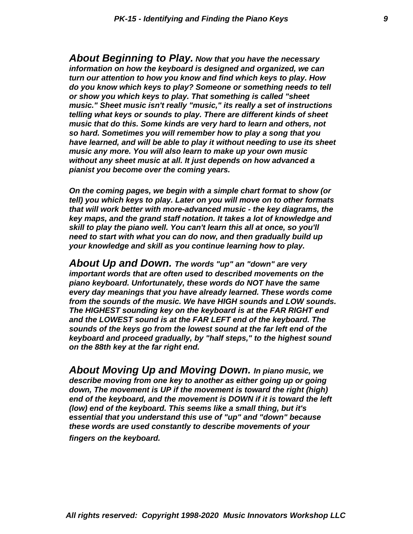*pianist you become over the coming years. without any sheet music at all. It just depends on how advanced a music any more. You will also learn to make up your own music have learned, and will be able to play it without needing to use its sheet so hard. Sometimes you will remember how to play a song that you music that do this. Some kinds are very hard to learn and others, not telling what keys or sounds to play. There are different kinds of sheet music." Sheet music isn't really "music," its really a set of instructions or show you which keys to play. That something is called "sheet do you know which keys to play? Someone or something needs to tell turn our attention to how you know and find which keys to play. How information on how the keyboard is designed and organized, we can About Beginning to Play. Now that you have the necessary*

*your knowledge and skill as you continue learning how to play. need to start with what you can do now, and then gradually build up skill to play the piano well. You can't learn this all at once, so you'll key maps, and the grand staff notation. It takes a lot of knowledge and that will work better with more-advanced music - the key diagrams, the tell) you which keys to play. Later on you will move on to other formats On the coming pages, we begin with a simple chart format to show (or*

*on the 88th key at the far right end. keyboard and proceed gradually, by "half steps," to the highest sound sounds of the keys go from the lowest sound at the far left end of the and the LOWEST sound is at the FAR LEFT end of the keyboard. The The HIGHEST sounding key on the keyboard is at the FAR RIGHT end from the sounds of the music. We have HIGH sounds and LOW sounds. every day meanings that you have already learned. These words come piano keyboard. Unfortunately, these words do NOT have the same important words that are often used to described movements on the About Up and Down. The words "up" an "down" are very*

*fingers on the keyboard. these words are used constantly to describe movements of your essential that you understand this use of "up" and "down" because (low) end of the keyboard. This seems like a small thing, but it's end of the keyboard, and the movement is DOWN if it is toward the left down, The movement is UP if the movement is toward the right (high) describe moving from one key to another as either going up or going About Moving Up and Moving Down. In piano music, we*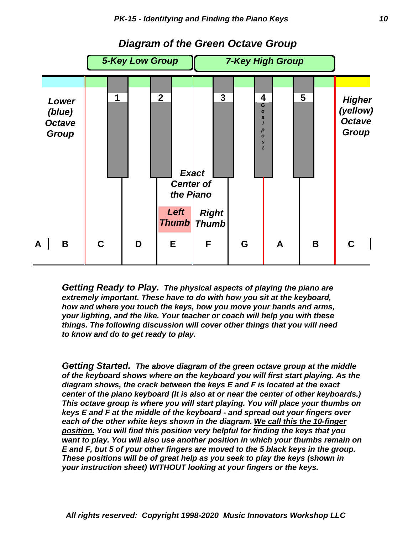

#### *Diagram of the Green Octave Group*

*to know and do to get ready to play. things. The following discussion will cover other things that you will need your lighting, and the like. Your teacher or coach will help you with these how and where you touch the keys, how you move your hands and arms, extremely important. These have to do with how you sit at the keyboard, Getting Ready to Play. The physical aspects of playing the piano are*

*your instruction sheet) WITHOUT looking at your fingers or the keys. These positions will be of great help as you seek to play the keys (shown in E and F, but 5 of your other fingers are moved to the 5 black keys in the group. want to play. You will also use another position in which your thumbs remain on position. You will find this position very helpful for finding the keys that you each of the other white keys shown in the diagram. We call this the 10-finger keys E and F at the middle of the keyboard - and spread out your fingers over This octave group is where you will start playing. You will place your thumbs on center of the piano keyboard (It is also at or near the center of other keyboards.) diagram shows, the crack between the keys E and F is located at the exact of the keyboard shows where on the keyboard you will first start playing. As the Getting Started. The above diagram of the green octave group at the middle*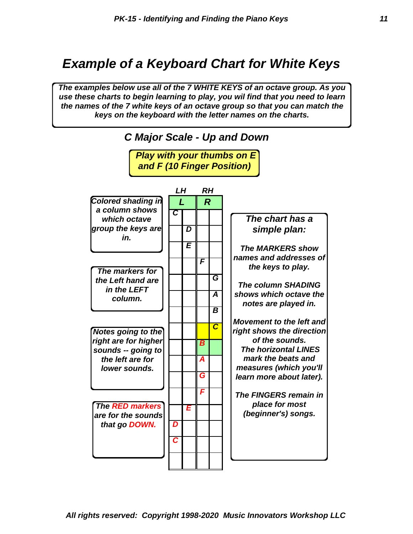## *Example of a Keyboard Chart for White Keys*

*The examples below use all of the 7 WHITE KEYS of an octave group. As you use these charts to begin learning to play, you wil find that you need to learn the names of the 7 white keys of an octave group so that you can match the keys on the keyboard with the letter names on the charts.*

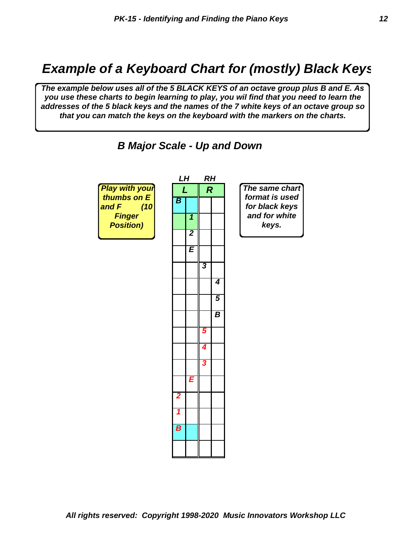### *Example of a Keyboard Chart for (mostly) Black Keys*

*The example below uses all of the 5 BLACK KEYS of an octave group plus B and E. As you use these charts to begin learning to play, you wil find that you need to learn the addresses of the 5 black keys and the names of the 7 white keys of an octave group so that you can match the keys on the keyboard with the markers on the charts.*



 *B Major Scale - Up and Down*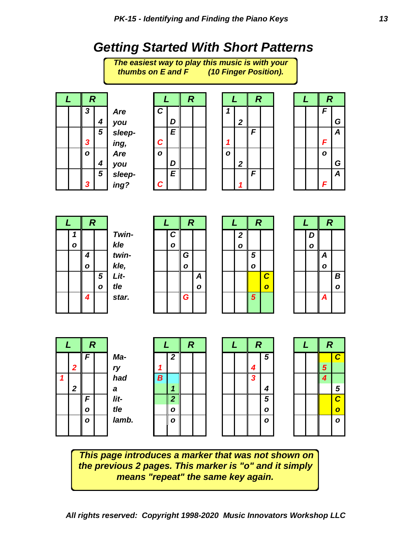## *Getting Started With Short Patterns*



*This page introduces a marker that was not shown on the previous 2 pages. This marker is "o" and it simply means "repeat" the same key again.*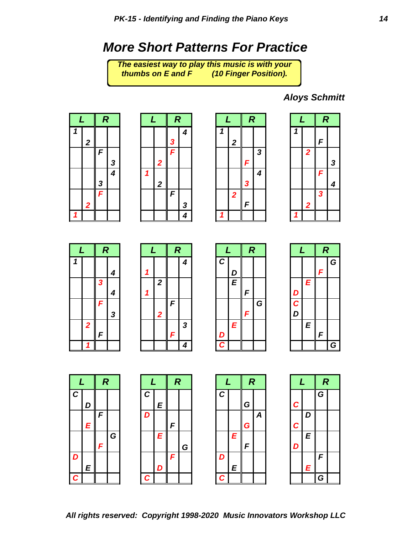### *More Short Patterns For Practice*

**thumbs on E and F** *The easiest way to play this music is with your (10 Finger Position).* 

*Aloys Schmitt*















|        | L | R |   |
|--------|---|---|---|
|        |   | F | G |
| D      | Ē |   |   |
| C<br>D |   |   |   |
|        | E | F |   |
|        |   |   | ≏ |







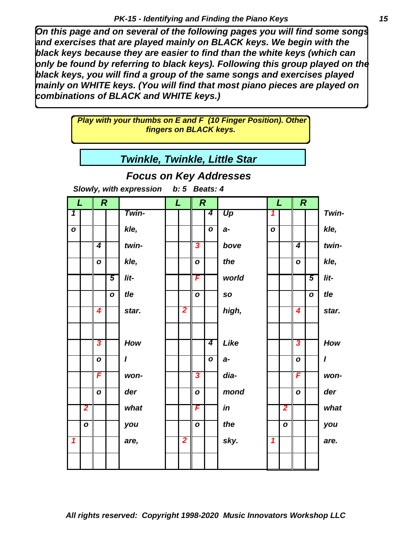*On this page and on several of the following pages you will find some songs and exercises that are played mainly on BLACK keys. We begin with the black keys because they are easier to find than the white keys (which can only be found by referring to black keys). Following this group played on the black keys, you will find a group of the same songs and exercises played mainly on WHITE keys. (You will find that most piano pieces are played on combinations of BLACK and WHITE keys.)*

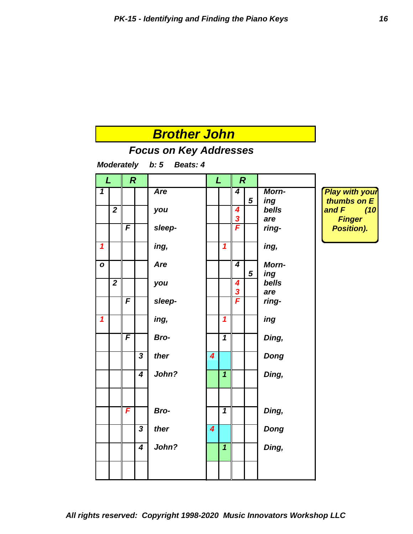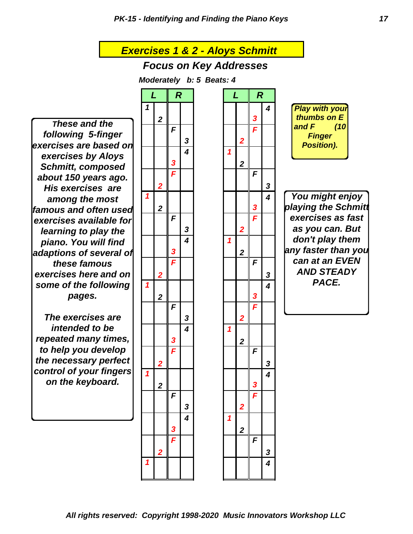*Exercises 1 & 2 - Aloys Schmitt Focus on Key Addresses Moderately b: 5 Beats: 4 L R L R 1 4 2 3 F F 3 2 4 1 3 2 F F 2 3 1 4 2 3 F F 3 2 4 1 3 2 F F 2 3 1 4 2 3 F F 3 2 4 1 3 2 F F 2 3 1 4 2 3 F F 3 2 4 1 These and the following 5-finger exercises are based on exercises by Aloys Schmitt, composed about 150 years ago. His exercises are among the most famous and often used exercises available for learning to play the piano. You will find adaptions of several of these famous exercises here and on some of the following pages. The exercises are intended to be repeated many times, to help you develop the necessary perfect control of your fingers on the keyboard. You might enjoy playing the Schmitt exercises as fast as you can. But don't play them any faster than you can at an EVEN AND STEADY PACE. Play with your thumbs on E and F (10 Finger Position).*

*3 2 F F 2 3 1 4*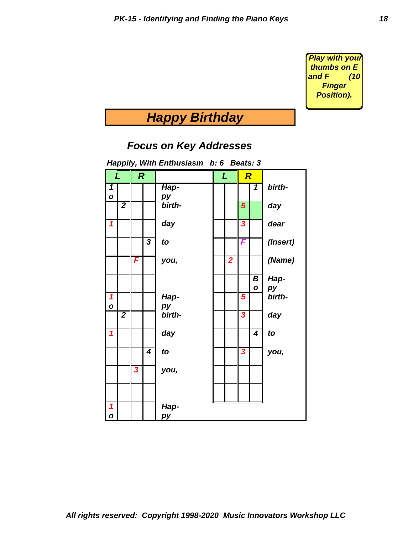*Play with your thumbs on E and F (10 Finger Position).*

# *Happy Birthday*

#### *Focus on Key Addresses*

|                            |                         |                  |                         | паррігу, ттип спитизіазні | D. 0                    |                | Deals. J                |                         |          |  |  |  |
|----------------------------|-------------------------|------------------|-------------------------|---------------------------|-------------------------|----------------|-------------------------|-------------------------|----------|--|--|--|
| L                          |                         | $\boldsymbol{R}$ |                         |                           |                         | L              | $\overline{\bm{R}}$     |                         |          |  |  |  |
| 1                          |                         |                  |                         | Hap-                      |                         |                |                         | 1                       | birth-   |  |  |  |
| $\mathbf{o}$               |                         |                  |                         | py                        |                         |                |                         |                         |          |  |  |  |
|                            | $\overline{\mathbf{2}}$ |                  |                         | birth-                    |                         |                | 5                       |                         | day      |  |  |  |
| $\boldsymbol{\mathcal{L}}$ |                         |                  |                         | day                       | $\overline{\mathbf{3}}$ |                |                         |                         | dear     |  |  |  |
|                            |                         |                  | $\overline{\mathbf{3}}$ | to                        |                         |                | F                       |                         | (Insert) |  |  |  |
|                            |                         | F                |                         | you,                      |                         | $\overline{2}$ |                         |                         | (Name)   |  |  |  |
|                            |                         |                  |                         |                           |                         |                |                         | B                       | Hap-     |  |  |  |
|                            |                         |                  |                         |                           |                         |                |                         | $\mathbf{o}$            | py       |  |  |  |
| $\overline{\mathbf{1}}$    |                         |                  |                         | Hap-                      |                         |                | 5                       |                         | birth-   |  |  |  |
| $\mathbf{o}$               |                         |                  |                         | рy                        |                         |                |                         |                         |          |  |  |  |
|                            | $\overline{\mathbf{2}}$ |                  |                         | birth-                    |                         |                | $\overline{\mathbf{3}}$ |                         | day      |  |  |  |
| $\mathbf{1}$               |                         |                  |                         | day                       |                         |                |                         | $\overline{\mathbf{4}}$ | to       |  |  |  |
|                            |                         |                  | 4                       | to                        |                         |                | 3                       |                         | you,     |  |  |  |
|                            |                         | 3                |                         | you,                      |                         |                |                         |                         |          |  |  |  |
|                            |                         |                  |                         |                           |                         |                |                         |                         |          |  |  |  |
|                            |                         |                  |                         |                           |                         |                |                         |                         |          |  |  |  |
| $\boldsymbol{\mathcal{L}}$ |                         |                  |                         | Hap-                      |                         |                |                         |                         |          |  |  |  |
| $\mathbf{o}$               |                         |                  |                         | pу                        |                         |                |                         |                         |          |  |  |  |

*Happily, With Enthusiasm b: 6 Beats: 3*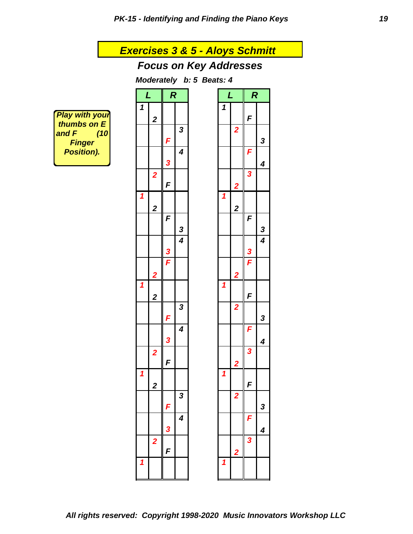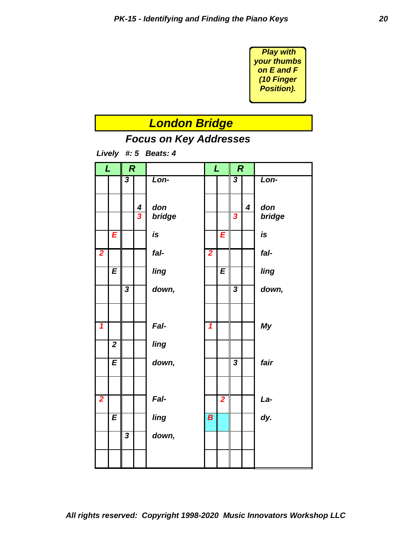

### *London Bridge*



*Lively #: 5 Beats: 4*

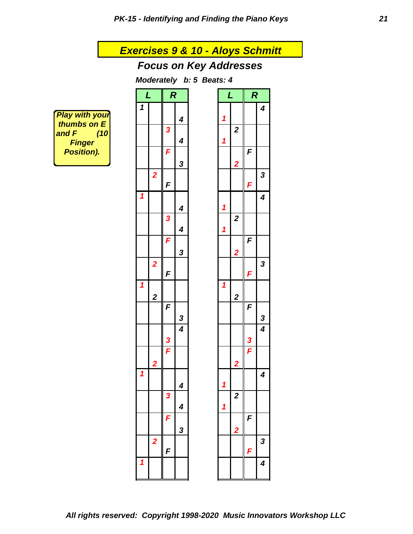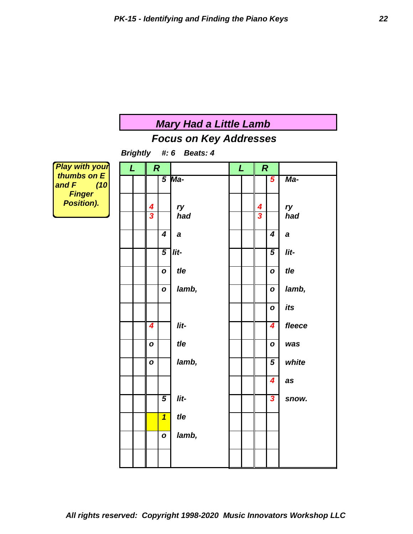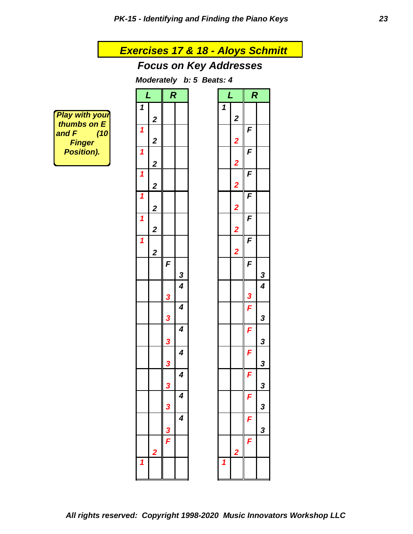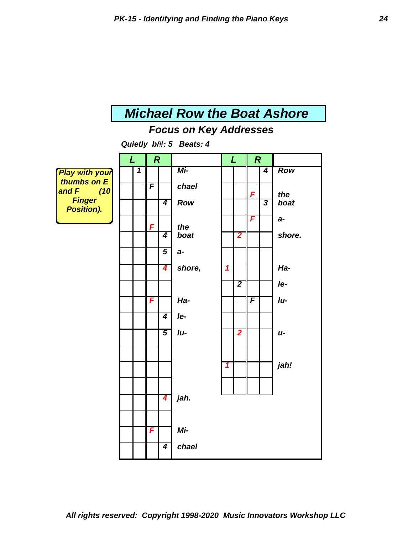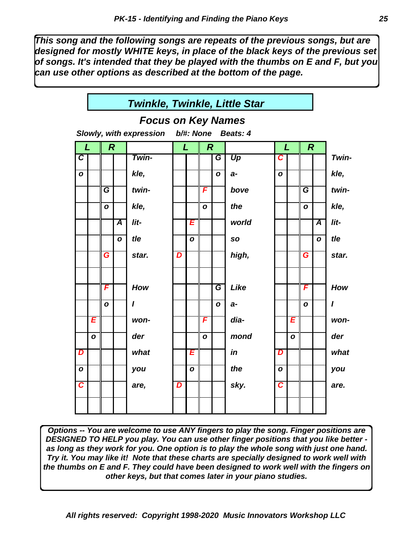*This song and the following songs are repeats of the previous songs, but are designed for mostly WHITE keys, in place of the black keys of the previous set of songs. It's intended that they be played with the thumbs on E and F, but you can use other options as described at the bottom of the page.*



*Options -- You are welcome to use ANY fingers to play the song. Finger positions are DESIGNED TO HELP you play. You can use other finger positions that you like better as long as they work for you. One option is to play the whole song with just one hand. Try it. You may like it! Note that these charts are specially designed to work well with the thumbs on E and F. They could have been designed to work well with the fingers on other keys, but that comes later in your piano studies.*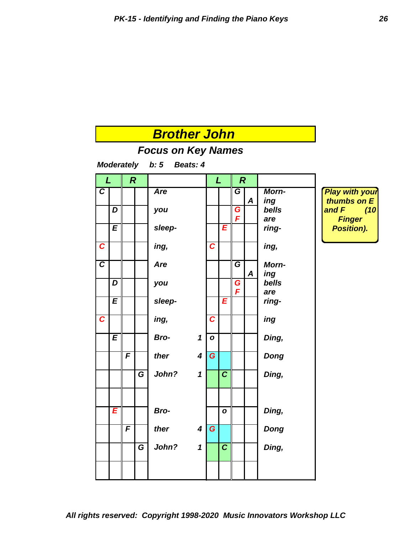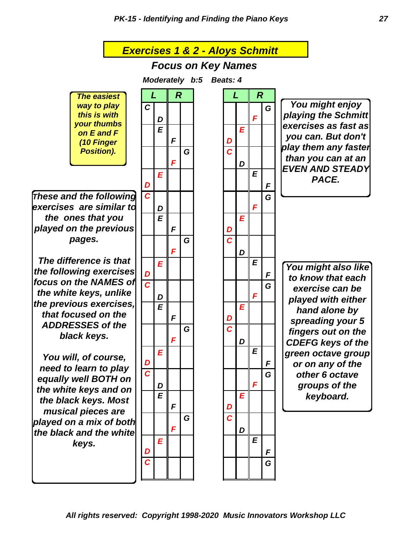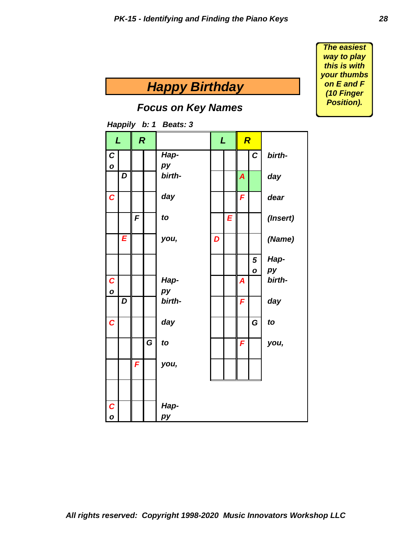*Happy Birthday Focus on Key Names Happily b: 1 Beats: 3 L R L R C Hap- C birtho* | | | *py D birth- A day C day F dear F to E (Insert) E you, D (Name) 5 Hapo py C Hap- A birtho* | | | *py D birth- F day C* | | | *day* | | | | *G* | *to G to F you, F you, C Hapo* | | | *py* 

*The easiest way to play this is with your thumbs on E and F (10 Finger Position).*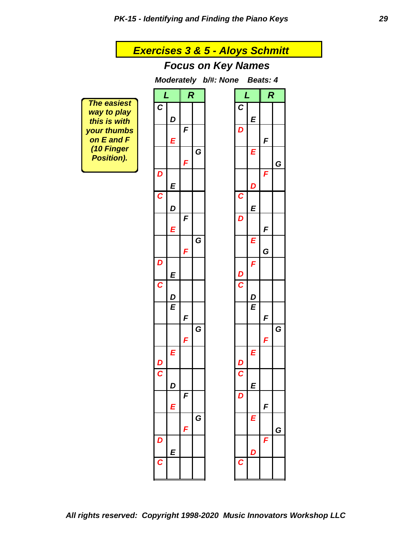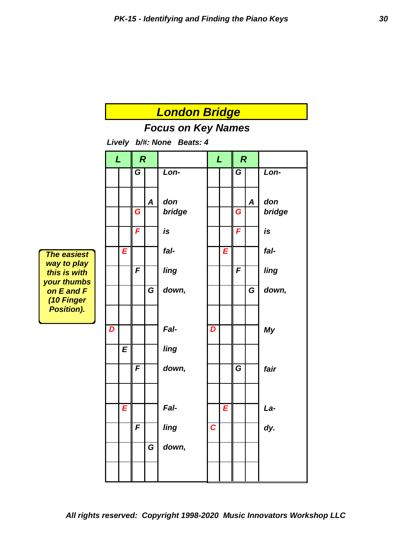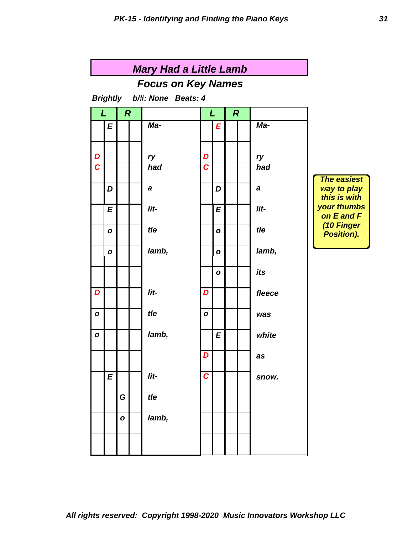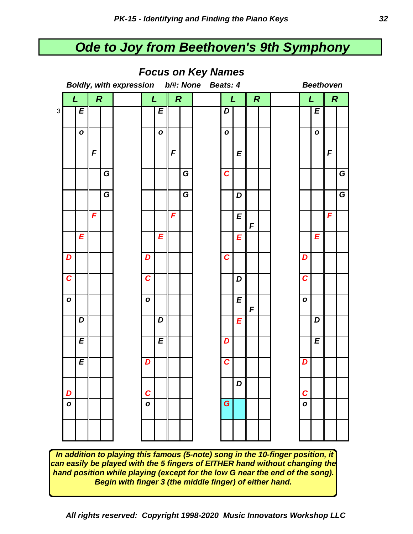## *Ode to Joy from Beethoven's 9th Symphony*



#### *Focus on Key Names*

 *In addition to playing this famous (5-note) song in the 10-finger position, it can easily be played with the 5 fingers of EITHER hand without changing the hand position while playing (except for the low G near the end of the song). Begin with finger 3 (the middle finger) of either hand.*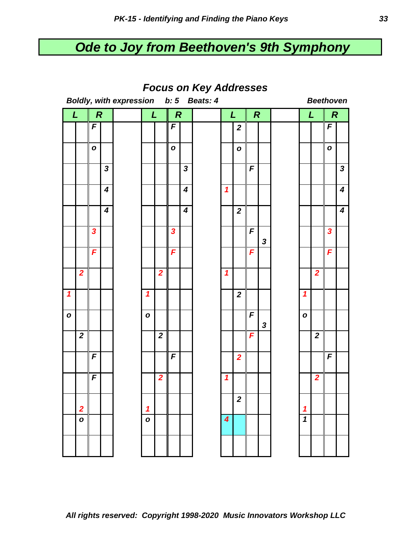# *Ode to Joy from Beethoven's 9th Symphony*

| <b>I UCUS UII REY AUUI ESSES</b><br>Boldly, with expression b: 5 Beats: 4<br><b>Beethoven</b> |                         |                         |              |  |                            |                         |                |                         |                  |                            |                         |                |                  |                            |                         |                         |                         |
|-----------------------------------------------------------------------------------------------|-------------------------|-------------------------|--------------|--|----------------------------|-------------------------|----------------|-------------------------|------------------|----------------------------|-------------------------|----------------|------------------|----------------------------|-------------------------|-------------------------|-------------------------|
| <b>Q</b>                                                                                      |                         | $\boldsymbol{R}$        |              |  | L<br>$\boldsymbol{R}$      |                         | L              |                         | $\boldsymbol{R}$ |                            | L                       |                | $\boldsymbol{R}$ |                            |                         |                         |                         |
|                                                                                               |                         | $\boldsymbol{F}$        |              |  |                            |                         | F              |                         |                  |                            | $\boldsymbol{2}$        |                |                  |                            |                         | F                       |                         |
|                                                                                               |                         |                         |              |  |                            |                         |                |                         |                  |                            |                         |                |                  |                            |                         |                         |                         |
|                                                                                               |                         | $\mathbf{o}$            |              |  |                            |                         | $\mathbf{o}$   |                         |                  |                            | $\mathbf{o}$            |                |                  |                            |                         | $\mathbf{o}$            |                         |
|                                                                                               |                         |                         | $\mathbf{3}$ |  |                            |                         |                | $\mathbf{3}$            |                  |                            |                         | $\overline{F}$ |                  |                            |                         |                         | $\mathbf{3}$            |
|                                                                                               |                         |                         | 4            |  |                            |                         |                | $\boldsymbol{4}$        |                  | $\mathbf{1}$               |                         |                |                  |                            |                         |                         | $\overline{\mathbf{4}}$ |
|                                                                                               |                         |                         | 4            |  |                            |                         |                | $\overline{\mathbf{4}}$ |                  |                            | $\boldsymbol{2}$        |                |                  |                            |                         |                         | $\boldsymbol{4}$        |
|                                                                                               |                         | $\overline{\mathbf{3}}$ |              |  |                            |                         | $\mathbf{3}$   |                         |                  |                            |                         | F              | $\mathbf{3}$     |                            |                         | $\overline{\mathbf{3}}$ |                         |
|                                                                                               |                         | F                       |              |  |                            |                         | F              |                         |                  |                            |                         | F              |                  |                            |                         | F                       |                         |
|                                                                                               | $\overline{\mathbf{2}}$ |                         |              |  |                            | $\overline{\mathbf{2}}$ |                |                         |                  | $\mathbf{1}$               |                         |                |                  |                            | $\overline{\mathbf{2}}$ |                         |                         |
| $\overline{\mathbf{1}}$                                                                       |                         |                         |              |  | $\boldsymbol{\mathcal{L}}$ |                         |                |                         |                  |                            | $\boldsymbol{2}$        |                |                  | $\mathbf{1}$               |                         |                         |                         |
| $\mathbf{o}$                                                                                  |                         |                         |              |  | $\mathbf{o}$               |                         |                |                         |                  |                            |                         | $\overline{F}$ | $\mathbf{3}$     | $\mathbf{o}$               |                         |                         |                         |
|                                                                                               | $\overline{\mathbf{2}}$ |                         |              |  |                            | $\boldsymbol{2}$        |                |                         |                  |                            |                         | F              |                  |                            | $\overline{\mathbf{2}}$ |                         |                         |
|                                                                                               |                         | F                       |              |  |                            |                         | $\overline{F}$ |                         |                  |                            | $\overline{\mathbf{2}}$ |                |                  |                            |                         | $\boldsymbol{F}$        |                         |
|                                                                                               |                         | $\overline{F}$          |              |  |                            | $\overline{\mathbf{2}}$ |                |                         |                  | $\boldsymbol{\mathcal{L}}$ |                         |                |                  |                            | $\overline{\mathbf{2}}$ |                         |                         |
|                                                                                               | $\overline{\mathbf{2}}$ |                         |              |  | $\boldsymbol{1}$           |                         |                |                         |                  |                            | $\boldsymbol{2}$        |                |                  | 1                          |                         |                         |                         |
|                                                                                               | $\mathbf{o}$            |                         |              |  | $\mathbf{o}$               |                         |                |                         |                  | $\boldsymbol{4}$           |                         |                |                  | $\boldsymbol{\mathcal{L}}$ |                         |                         |                         |
|                                                                                               |                         |                         |              |  |                            |                         |                |                         |                  |                            |                         |                |                  |                            |                         |                         |                         |

*Focus on Key Addresses*